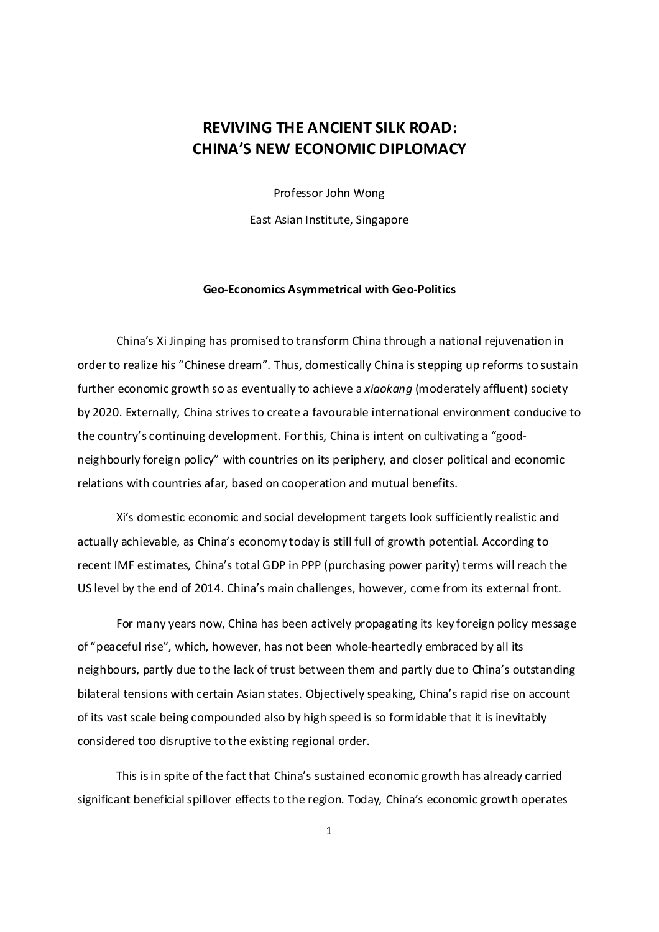# REVIVING THE ANCIENT SILK ROAD: CHINA'S NEW ECONOMIC DIPLOMACY

Professor John Wong East Asian Institute, Singapore

#### Geo-Economics Asymmetrical with Geo-Politics

China's Xi Jinping has promised to transform China through a national rejuvenation in order to realize his "Chinese dream". Thus, domestically China is stepping up reforms to sustain further economic growth so as eventually to achieve a *xiaokang* (moderately affluent) society by 2020. Externally, China strives to create a favourable international environment conducive to the country's continuing development. For this, China is intent on cultivating a "goodneighbourly foreign policy" with countries on its periphery, and closer political and economic relations with countries afar, based on cooperation and mutual benefits.

 Xi's domestic economic and social development targets look sufficiently realistic and actually achievable, as China's economy today is still full of growth potential. According to recent IMF estimates, China's total GDP in PPP (purchasing power parity) terms will reach the US level by the end of 2014. China's main challenges, however, come from its external front.

 For many years now, China has been actively propagating its key foreign policy message of "peaceful rise", which, however, has not been whole-heartedly embraced by all its neighbours, partly due to the lack of trust between them and partly due to China's outstanding bilateral tensions with certain Asian states. Objectively speaking, China's rapid rise on account of its vast scale being compounded also by high speed is so formidable that it is inevitably considered too disruptive to the existing regional order.

 This is in spite of the fact that China's sustained economic growth has already carried significant beneficial spillover effects to the region. Today, China's economic growth operates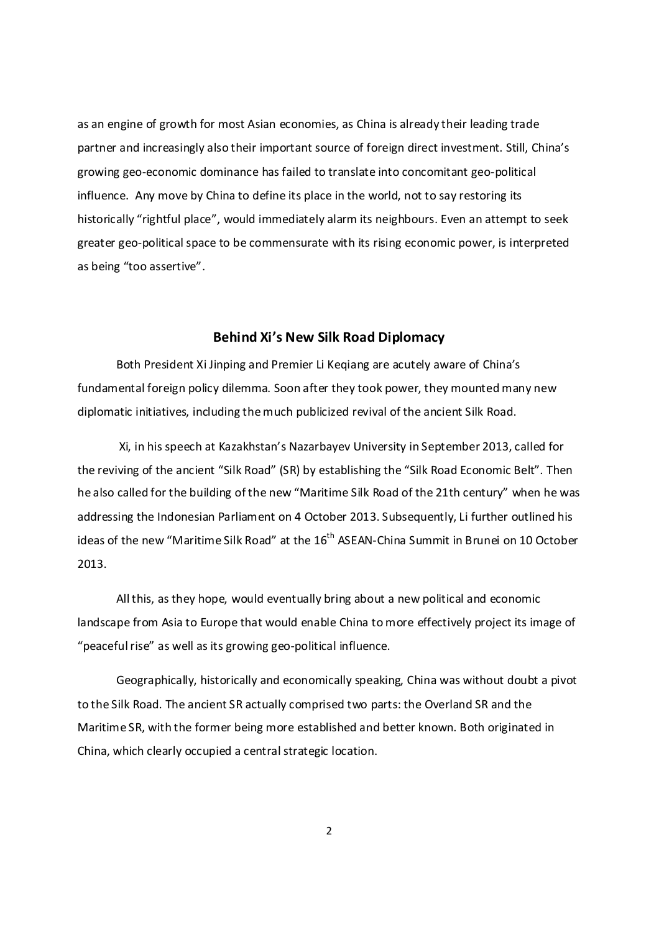as an engine of growth for most Asian economies, as China is already their leading trade partner and increasingly also their important source of foreign direct investment. Still, China's growing geo-economic dominance has failed to translate into concomitant geo-political influence. Any move by China to define its place in the world, not to say restoring its historically "rightful place", would immediately alarm its neighbours. Even an attempt to seek greater geo-political space to be commensurate with its rising economic power, is interpreted as being "too assertive".

# Behind Xi's New Silk Road Diplomacy

Both President Xi Jinping and Premier Li Keqiang are acutely aware of China's fundamental foreign policy dilemma. Soon after they took power, they mounted many new diplomatic initiatives, including the much publicized revival of the ancient Silk Road.

 Xi, in his speech at Kazakhstan's Nazarbayev University in September 2013, called for the reviving of the ancient "Silk Road" (SR) by establishing the "Silk Road Economic Belt". Then he also called for the building of the new "Maritime Silk Road of the 21th century" when he was addressing the Indonesian Parliament on 4 October 2013. Subsequently, Li further outlined his ideas of the new "Maritime Silk Road" at the 16<sup>th</sup> ASEAN-China Summit in Brunei on 10 October 2013.

All this, as they hope, would eventually bring about a new political and economic landscape from Asia to Europe that would enable China to more effectively project its image of "peaceful rise" as well as its growing geo-political influence.

Geographically, historically and economically speaking, China was without doubt a pivot to the Silk Road. The ancient SR actually comprised two parts: the Overland SR and the Maritime SR, with the former being more established and better known. Both originated in China, which clearly occupied a central strategic location.

2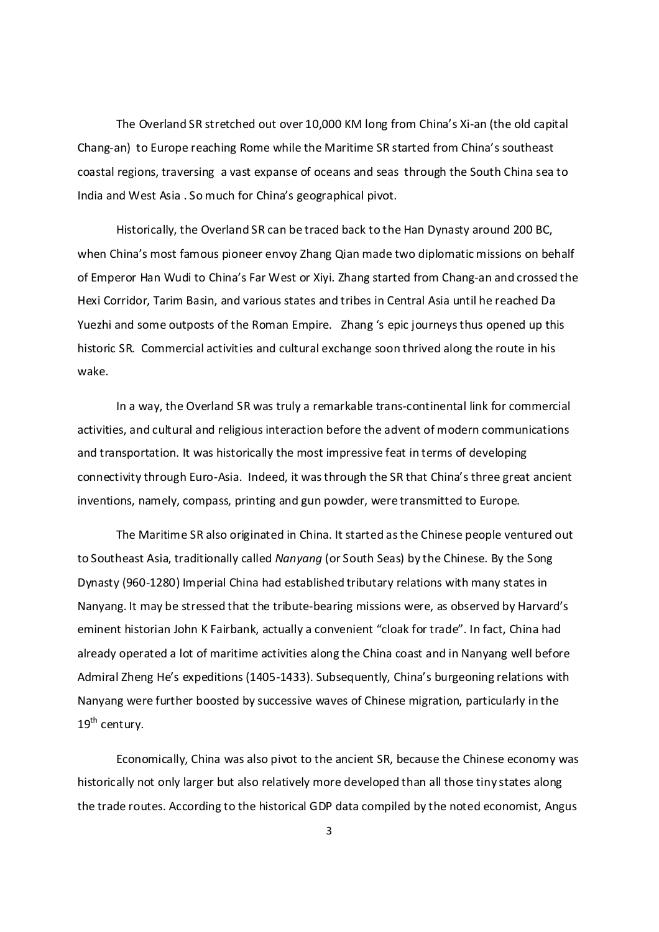The Overland SR stretched out over 10,000 KM long from China's Xi-an (the old capital Chang-an) to Europe reaching Rome while the Maritime SR started from China's southeast coastal regions, traversing a vast expanse of oceans and seas through the South China sea to India and West Asia . So much for China's geographical pivot.

Historically, the Overland SR can be traced back to the Han Dynasty around 200 BC, when China's most famous pioneer envoy Zhang Qian made two diplomatic missions on behalf of Emperor Han Wudi to China's Far West or Xiyi. Zhang started from Chang-an and crossed the Hexi Corridor, Tarim Basin, and various states and tribes in Central Asia until he reached Da Yuezhi and some outposts of the Roman Empire. Zhang 's epic journeys thus opened up this historic SR. Commercial activities and cultural exchange soon thrived along the route in his wake.

In a way, the Overland SR was truly a remarkable trans-continental link for commercial activities, and cultural and religious interaction before the advent of modern communications and transportation. It was historically the most impressive feat in terms of developing connectivity through Euro-Asia. Indeed, it was through the SR that China's three great ancient inventions, namely, compass, printing and gun powder, were transmitted to Europe.

The Maritime SR also originated in China. It started as the Chinese people ventured out to Southeast Asia, traditionally called Nanyang (or South Seas) by the Chinese. By the Song Dynasty (960-1280) Imperial China had established tributary relations with many states in Nanyang. It may be stressed that the tribute-bearing missions were, as observed by Harvard's eminent historian John K Fairbank, actually a convenient "cloak for trade". In fact, China had already operated a lot of maritime activities along the China coast and in Nanyang well before Admiral Zheng He's expeditions (1405-1433). Subsequently, China's burgeoning relations with Nanyang were further boosted by successive waves of Chinese migration, particularly in the 19<sup>th</sup> century.

Economically, China was also pivot to the ancient SR, because the Chinese economy was historically not only larger but also relatively more developed than all those tiny states along the trade routes. According to the historical GDP data compiled by the noted economist, Angus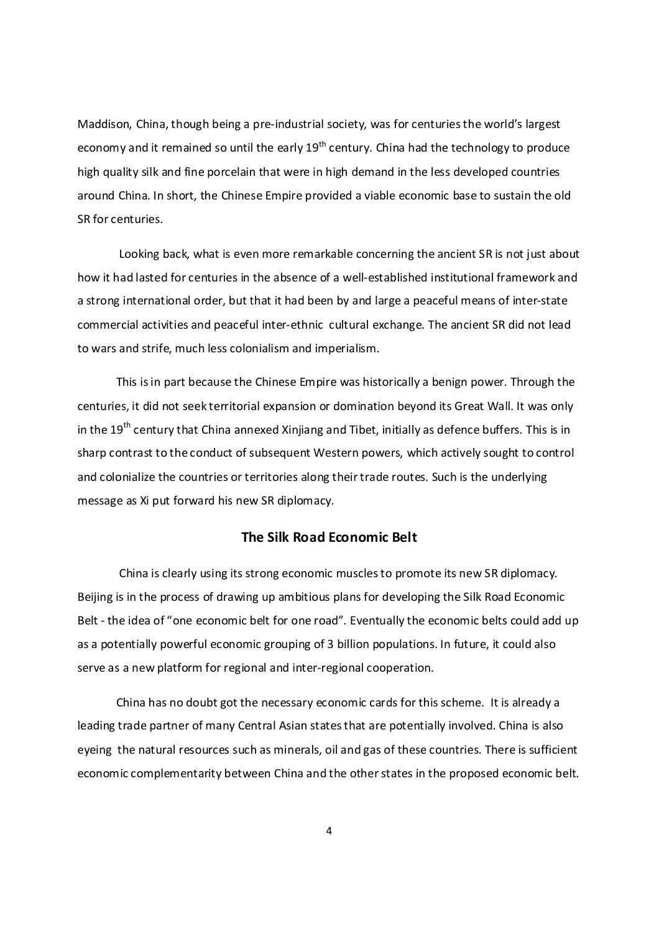Maddison, China, though being a pre-industrial society, was for centuries the world's largest economy and it remained so until the early  $19<sup>th</sup>$  century. China had the technology to produce high quality silk and fine porcelain that were in high demand in the less developed countries around China. In short, the Chinese Empire provided a viable economic base to sustain the old SR for centuries.

 Looking back, what is even more remarkable concerning the ancient SR is not just about how it had lasted for centuries in the absence of a well-established institutional framework and a strong international order, but that it had been by and large a peaceful means of inter-state commercial activities and peaceful inter-ethnic cultural exchange. The ancient SR did not lead to wars and strife, much less colonialism and imperialism.

This is in part because the Chinese Empire was historically a benign power. Through the centuries, it did not seek territorial expansion or domination beyond its Great Wall. It was only in the 19<sup>th</sup> century that China annexed Xinjiang and Tibet, initially as defence buffers. This is in sharp contrast to the conduct of subsequent Western powers, which actively sought to control and colonialize the countries or territories along their trade routes. Such is the underlying message as Xi put forward his new SR diplomacy.

## The Silk Road Economic Belt

 China is clearly using its strong economic muscles to promote its new SR diplomacy. Beijing is in the process of drawing up ambitious plans for developing the Silk Road Economic Belt - the idea of "one economic belt for one road". Eventually the economic belts could add up as a potentially powerful economic grouping of 3 billion populations. In future, it could also serve as a new platform for regional and inter-regional cooperation.

China has no doubt got the necessary economic cards for this scheme. It is already a leading trade partner of many Central Asian states that are potentially involved. China is also eyeing the natural resources such as minerals, oil and gas of these countries. There is sufficient economic complementarity between China and the other states in the proposed economic belt.